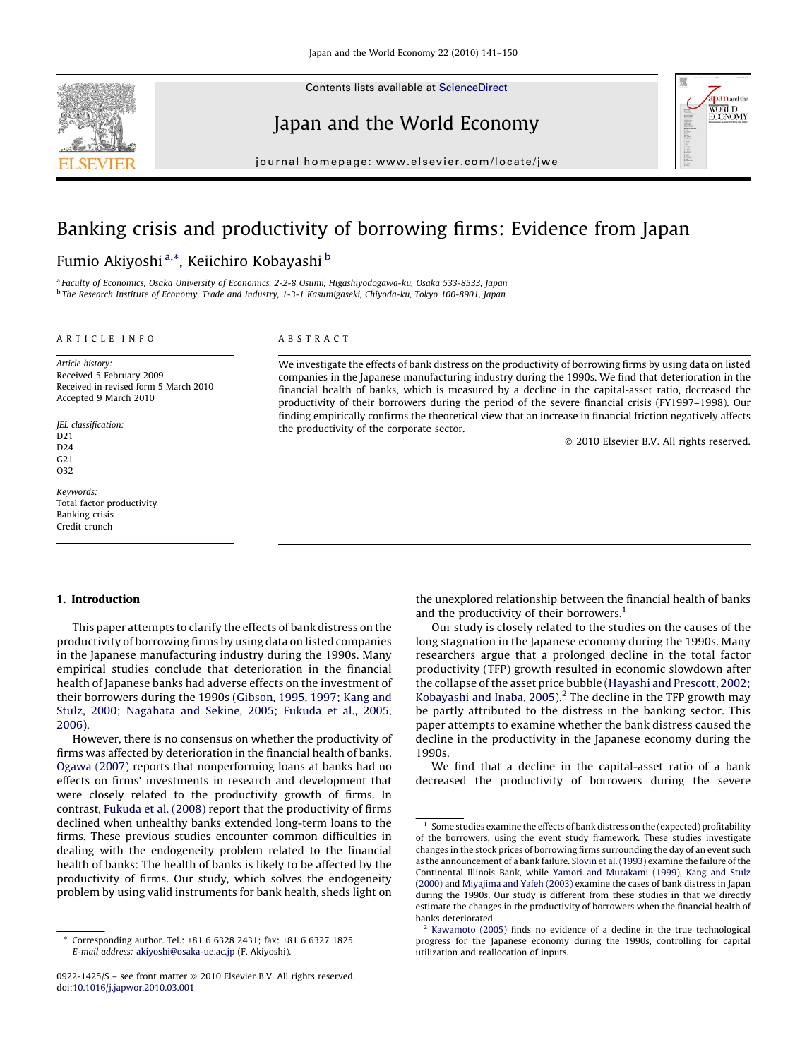

Contents lists available at [ScienceDirect](http://www.sciencedirect.com/science/journal/09221425)

Japan and the World Economy



journal homepage: www.elsevier.com/locate/jwe

## Banking crisis and productivity of borrowing firms: Evidence from Japan

### Fumio Akiyoshi <sup>a,</sup>\*, Keiichiro Kobayashi <sup>b</sup>

<sup>a</sup> Faculty of Economics, Osaka University of Economics, 2-2-8 Osumi, Higashiyodogawa-ku, Osaka 533-8533, Japan <sup>b</sup> The Research Institute of Economy, Trade and Industry, 1-3-1 Kasumigaseki, Chiyoda-ku, Tokyo 100-8901, Japan

#### ARTICLE INFO

Article history: Received 5 February 2009 Received in revised form 5 March 2010 Accepted 9 March 2010

JEL classification: D21  $D24$  $C<sub>21</sub>$ O32

Keywords: Total factor productivity Banking crisis Credit crunch

#### ABSTRACT

We investigate the effects of bank distress on the productivity of borrowing firms by using data on listed companies in the Japanese manufacturing industry during the 1990s. We find that deterioration in the financial health of banks, which is measured by a decline in the capital-asset ratio, decreased the productivity of their borrowers during the period of the severe financial crisis (FY1997–1998). Our finding empirically confirms the theoretical view that an increase in financial friction negatively affects the productivity of the corporate sector.

- 2010 Elsevier B.V. All rights reserved.

#### 1. Introduction

This paper attempts to clarify the effects of bank distress on the productivity of borrowing firms by using data on listed companies in the Japanese manufacturing industry during the 1990s. Many empirical studies conclude that deterioration in the financial health of Japanese banks had adverse effects on the investment of their borrowers during the 1990s [\(Gibson, 1995, 1997; Kang and](#page--1-0) [Stulz, 2000; Nagahata and Sekine, 2005; Fukuda et al., 2005,](#page--1-0) [2006](#page--1-0)).

However, there is no consensus on whether the productivity of firms was affected by deterioration in the financial health of banks. [Ogawa \(2007\)](#page--1-0) reports that nonperforming loans at banks had no effects on firms' investments in research and development that were closely related to the productivity growth of firms. In contrast, [Fukuda et al. \(2008\)](#page--1-0) report that the productivity of firms declined when unhealthy banks extended long-term loans to the firms. These previous studies encounter common difficulties in dealing with the endogeneity problem related to the financial health of banks: The health of banks is likely to be affected by the productivity of firms. Our study, which solves the endogeneity problem by using valid instruments for bank health, sheds light on

the unexplored relationship between the financial health of banks and the productivity of their borrowers.<sup>1</sup>

Our study is closely related to the studies on the causes of the long stagnation in the Japanese economy during the 1990s. Many researchers argue that a prolonged decline in the total factor productivity (TFP) growth resulted in economic slowdown after the collapse of the asset price bubble ([Hayashi and Prescott, 2002;](#page--1-0) Kobayashi and Inaba,  $2005$ ).<sup>2</sup> The decline in the TFP growth may be partly attributed to the distress in the banking sector. This paper attempts to examine whether the bank distress caused the decline in the productivity in the Japanese economy during the 1990s.

We find that a decline in the capital-asset ratio of a bank decreased the productivity of borrowers during the severe

Corresponding author. Tel.: +81 6 6328 2431; fax: +81 6 6327 1825. E-mail address: [akiyoshi@osaka-ue.ac.jp](mailto:akiyoshi@osaka-ue.ac.jp) (F. Akiyoshi).

<sup>0922-1425/\$ –</sup> see front matter © 2010 Elsevier B.V. All rights reserved. doi:[10.1016/j.japwor.2010.03.001](http://dx.doi.org/10.1016/j.japwor.2010.03.001)

Some studies examine the effects of bank distress on the (expected) profitability of the borrowers, using the event study framework. These studies investigate changes in the stock prices of borrowing firms surrounding the day of an event such as the announcement of a bank failure. [Slovin et al. \(1993\)](#page--1-0) examine the failure of the Continental Illinois Bank, while [Yamori and Murakami \(1999\)](#page--1-0), [Kang and Stulz](#page--1-0) [\(2000\)](#page--1-0) and [Miyajima and Yafeh \(2003\)](#page--1-0) examine the cases of bank distress in Japan during the 1990s. Our study is different from these studies in that we directly estimate the changes in the productivity of borrowers when the financial health of banks deteriorated.

<sup>2</sup> [Kawamoto \(2005\)](#page--1-0) finds no evidence of a decline in the true technological progress for the Japanese economy during the 1990s, controlling for capital utilization and reallocation of inputs.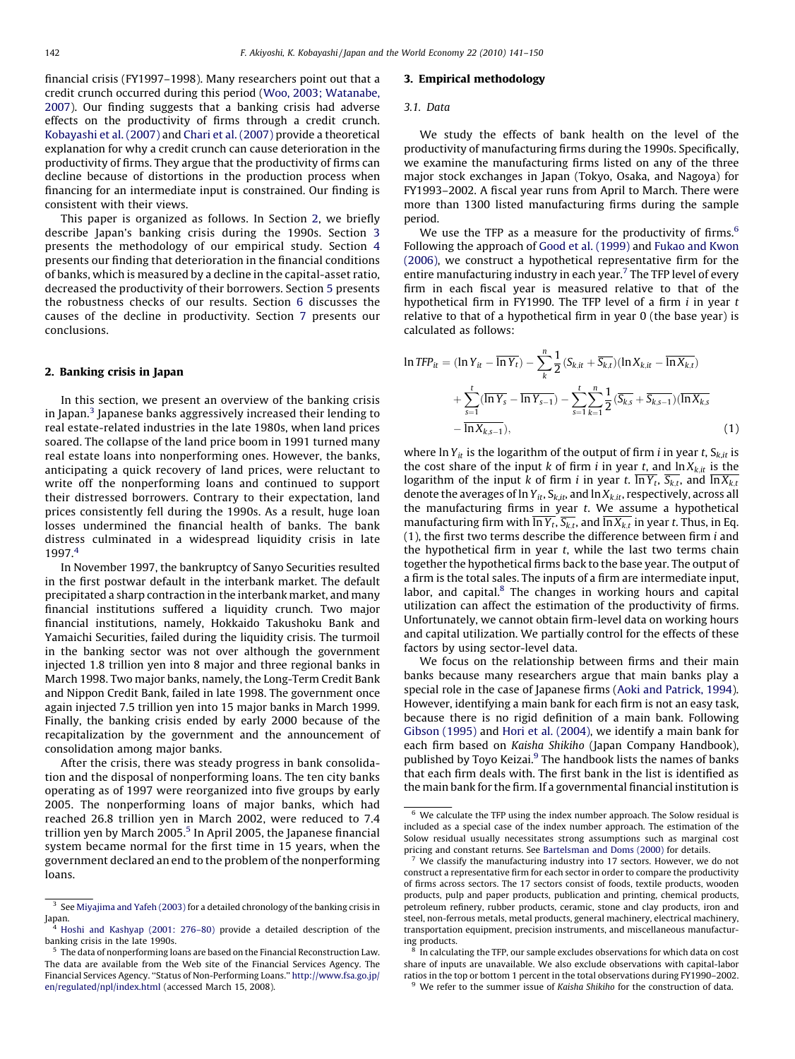financial crisis (FY1997–1998). Many researchers point out that a credit crunch occurred during this period [\(Woo, 2003; Watanabe,](#page--1-0) [2007\)](#page--1-0). Our finding suggests that a banking crisis had adverse effects on the productivity of firms through a credit crunch. [Kobayashi et al. \(2007\)](#page--1-0) and [Chari et al. \(2007\)](#page--1-0) provide a theoretical explanation for why a credit crunch can cause deterioration in the productivity of firms. They argue that the productivity of firms can decline because of distortions in the production process when financing for an intermediate input is constrained. Our finding is consistent with their views.

This paper is organized as follows. In Section 2, we briefly describe Japan's banking crisis during the 1990s. Section 3 presents the methodology of our empirical study. Section [4](#page--1-0) presents our finding that deterioration in the financial conditions of banks, which is measured by a decline in the capital-asset ratio, decreased the productivity of their borrowers. Section [5](#page--1-0) presents the robustness checks of our results. Section [6](#page--1-0) discusses the causes of the decline in productivity. Section [7](#page--1-0) presents our conclusions.

#### 2. Banking crisis in Japan

In this section, we present an overview of the banking crisis in Japan.<sup>3</sup> Japanese banks aggressively increased their lending to real estate-related industries in the late 1980s, when land prices soared. The collapse of the land price boom in 1991 turned many real estate loans into nonperforming ones. However, the banks, anticipating a quick recovery of land prices, were reluctant to write off the nonperforming loans and continued to support their distressed borrowers. Contrary to their expectation, land prices consistently fell during the 1990s. As a result, huge loan losses undermined the financial health of banks. The bank distress culminated in a widespread liquidity crisis in late 1997.<sup>4</sup>

In November 1997, the bankruptcy of Sanyo Securities resulted in the first postwar default in the interbank market. The default precipitated a sharp contraction in the interbank market, and many financial institutions suffered a liquidity crunch. Two major financial institutions, namely, Hokkaido Takushoku Bank and Yamaichi Securities, failed during the liquidity crisis. The turmoil in the banking sector was not over although the government injected 1.8 trillion yen into 8 major and three regional banks in March 1998. Two major banks, namely, the Long-Term Credit Bank and Nippon Credit Bank, failed in late 1998. The government once again injected 7.5 trillion yen into 15 major banks in March 1999. Finally, the banking crisis ended by early 2000 because of the recapitalization by the government and the announcement of consolidation among major banks.

After the crisis, there was steady progress in bank consolidation and the disposal of nonperforming loans. The ten city banks operating as of 1997 were reorganized into five groups by early 2005. The nonperforming loans of major banks, which had reached 26.8 trillion yen in March 2002, were reduced to 7.4 trillion yen by March 2005.<sup>5</sup> In April 2005, the Japanese financial system became normal for the first time in 15 years, when the government declared an end to the problem of the nonperforming loans.

#### 3. Empirical methodology

#### 3.1. Data

We study the effects of bank health on the level of the productivity of manufacturing firms during the 1990s. Specifically, we examine the manufacturing firms listed on any of the three major stock exchanges in Japan (Tokyo, Osaka, and Nagoya) for FY1993–2002. A fiscal year runs from April to March. There were more than 1300 listed manufacturing firms during the sample period.

We use the TFP as a measure for the productivity of firms. $6$ Following the approach of [Good et al. \(1999\)](#page--1-0) and [Fukao and Kwon](#page--1-0) [\(2006\),](#page--1-0) we construct a hypothetical representative firm for the entire manufacturing industry in each year.<sup>7</sup> The TFP level of every firm in each fiscal year is measured relative to that of the hypothetical firm in FY1990. The TFP level of a firm  $i$  in year  $t$ relative to that of a hypothetical firm in year 0 (the base year) is calculated as follows:

$$
\ln TFP_{it} = (\ln Y_{it} - \overline{\ln Y_{t}}) - \sum_{k}^{n} \frac{1}{2} (S_{k,it} + \overline{S_{k,t}}) (\ln X_{k,it} - \overline{\ln X_{k,t}}) + \sum_{s=1}^{t} (\overline{\ln Y_s} - \overline{\ln Y_{s-1}}) - \sum_{s=1}^{t} \sum_{k=1}^{n} \frac{1}{2} (\overline{S_{k,s}} + \overline{S_{k,s-1}}) (\overline{\ln X_{k,s}} - \overline{\ln X_{k,s-1}}),
$$
\n(1)

where ln  $Y_{it}$  is the logarithm of the output of firm *i* in year *t*,  $S_{k,it}$  is the cost share of the input k of firm i in year t, and  $\ln X_{k, it}$  is the logarithm of the input k of firm i in year t.  $\overline{\ln Y_t}$ ,  $\overline{S_{k,t}}$ , and  $\overline{\ln X_{k,t}}$ denote the averages of ln  $Y_{it}$ ,  $S_{k,it}$ , and ln  $X_{k,it}$ , respectively, across all the manufacturing firms in year  $t$ . We assume a hypothetical manufacturing firm with  $\overline{ln Y_t}$ ,  $\overline{S_{k,t}}$ , and  $\overline{ln X_{k,t}}$  in year t. Thus, in Eq.  $(1)$ , the first two terms describe the difference between firm  $i$  and the hypothetical firm in year  $t$ , while the last two terms chain together the hypothetical firms back to the base year. The output of a firm is the total sales. The inputs of a firm are intermediate input, labor, and capital.<sup>8</sup> The changes in working hours and capital utilization can affect the estimation of the productivity of firms. Unfortunately, we cannot obtain firm-level data on working hours and capital utilization. We partially control for the effects of these factors by using sector-level data.

We focus on the relationship between firms and their main banks because many researchers argue that main banks play a special role in the case of Japanese firms ([Aoki and Patrick, 1994\)](#page--1-0). However, identifying a main bank for each firm is not an easy task, because there is no rigid definition of a main bank. Following [Gibson \(1995\)](#page--1-0) and [Hori et al. \(2004\)](#page--1-0), we identify a main bank for each firm based on Kaisha Shikiho (Japan Company Handbook), published by Toyo Keizai.<sup>9</sup> The handbook lists the names of banks that each firm deals with. The first bank in the list is identified as the main bank for the firm. If a governmental financial institution is

<sup>9</sup> We refer to the summer issue of Kaisha Shikiho for the construction of data.

 $3$  See [Miyajima and Yafeh \(2003\)](#page--1-0) for a detailed chronology of the banking crisis in Japan. <sup>4</sup> [Hoshi and Kashyap \(2001: 276–80\)](#page--1-0) provide a detailed description of the

banking crisis in the late 1990s.

<sup>5</sup> The data of nonperforming loans are based on the Financial Reconstruction Law. The data are available from the Web site of the Financial Services Agency. The Financial Services Agency. ''Status of Non-Performing Loans.'' [http://www.fsa.go.jp/](http://www.fsa.go.jp/en/regulated/npl/index.html) [en/regulated/npl/index.html](http://www.fsa.go.jp/en/regulated/npl/index.html) (accessed March 15, 2008).

 $6\,$  We calculate the TFP using the index number approach. The Solow residual is included as a special case of the index number approach. The estimation of the Solow residual usually necessitates strong assumptions such as marginal cost pricing and constant returns. See [Bartelsman and Doms \(2000\)](#page--1-0) for details.

 $7$  We classify the manufacturing industry into 17 sectors. However, we do not construct a representative firm for each sector in order to compare the productivity of firms across sectors. The 17 sectors consist of foods, textile products, wooden products, pulp and paper products, publication and printing, chemical products, petroleum refinery, rubber products, ceramic, stone and clay products, iron and steel, non-ferrous metals, metal products, general machinery, electrical machinery, transportation equipment, precision instruments, and miscellaneous manufacturing products.

In calculating the TFP, our sample excludes observations for which data on cost share of inputs are unavailable. We also exclude observations with capital-labor ratios in the top or bottom 1 percent in the total observations during FY1990–2002.